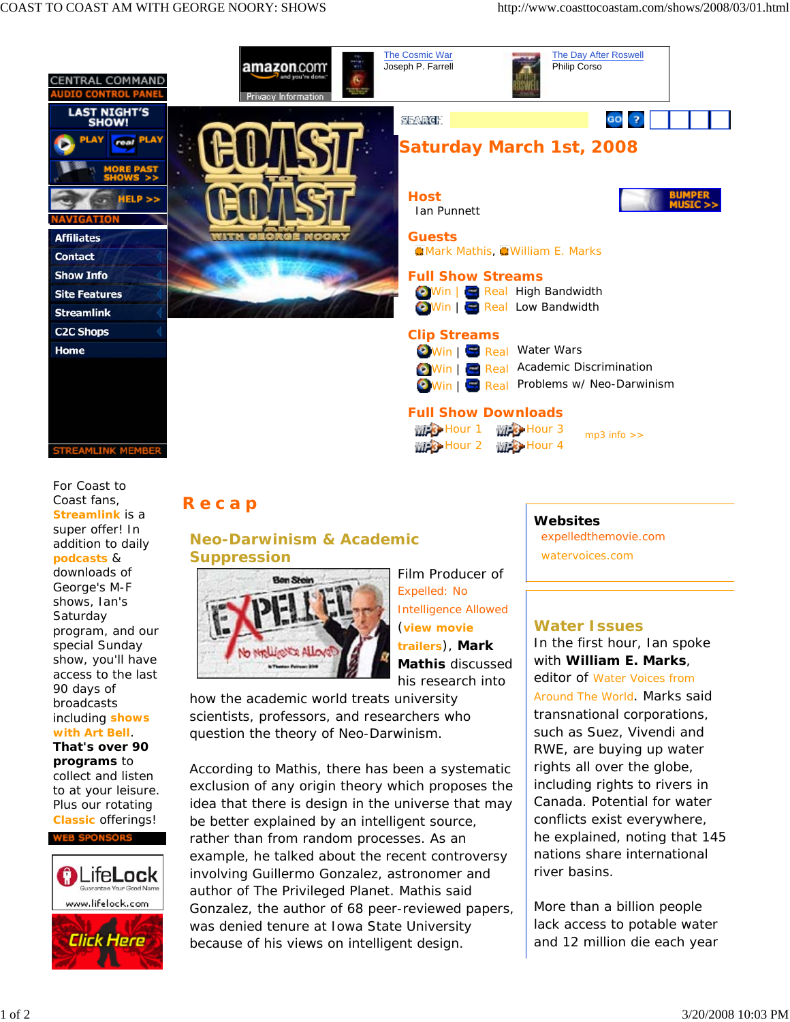

For *Coast to Coast* fans, **Streamlink** is a super offer! In addition to daily **podcasts** & downloads of George's M-F shows, Ian's **Saturday** program, and our special Sunday show, you'll have access to the last 90 days of broadcasts including **shows with Art Bell**.

**That's over 90 programs** to collect and listen to at your leisure. Plus our rotating **Classic** offerings!



# **Recap**

## **Neo-Darwinism & Academic Suppression**



Film Producer of *Expelled: No Intelligence Allowed* (**view movie trailers**), **Mark Mathis** discussed his research into

how the academic world treats university scientists, professors, and researchers who question the theory of Neo-Darwinism.

According to Mathis, there has been a systematic exclusion of any origin theory which proposes the idea that there is design in the universe that may be better explained by an intelligent source, rather than from random processes. As an example, he talked about the recent controversy involving Guillermo Gonzalez, astronomer and author of *The Privileged Planet*. Mathis said Gonzalez, the author of 68 peer-reviewed papers, was denied tenure at Iowa State University because of his views on intelligent design.

## **Websites**

expelledthemovie.com watervoices.com

### **Water Issues**

In the first hour, Ian spoke with **William E. Marks**, editor of *Water Voices from* 

*Around The World*. Marks said transnational corporations, such as Suez, Vivendi and RWE, are buying up water rights all over the globe, including rights to rivers in Canada. Potential for water conflicts exist everywhere, he explained, noting that 145 nations share international river basins.

More than a billion people lack access to potable water and 12 million die each year